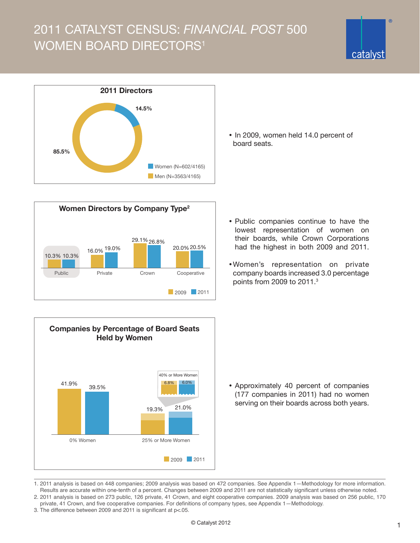## 2011 CATALYST CENSUS: *FINANCIAL POST* 500 WOMEN BOARD DIRECTORS<sup>1</sup>









• In 2009, women held 14.0 percent of board seats.

- Public companies continue to have the lowest representation of women on their boards, while Crown Corporations had the highest in both 2009 and 2011.
- •Women's representation on private company boards increased 3.0 percentage points from 2009 to 2011.<sup>3</sup>

• Approximately 40 percent of companies (177 companies in 2011) had no women serving on their boards across both years.

- 1. 2011 analysis is based on 448 companies; 2009 analysis was based on 472 companies. See [Appendix 1—Methodology](http://www.catalyst.org/etc/Census_app/11CAN/Appendix_1_2011_FP500_Census.pdf) for more information. Results are accurate within one-tenth of a percent. Changes between 2009 and 2011 are not statistically significant unless otherwise noted. 2. 2011 analysis is based on 273 public, 126 private, 41 Crown, and eight cooperative companies. 2009 analysis was based on 256 public, 170
- private, 41 Crown, and five cooperative companies. For definitions of company types, see [Appendix 1—Methodology.](http://www.catalyst.org/etc/Census_app/11CAN/Appendix_1_2011_FP500_Census.pdf)
- 3. The difference between 2009 and 2011 is significant at p<.05.